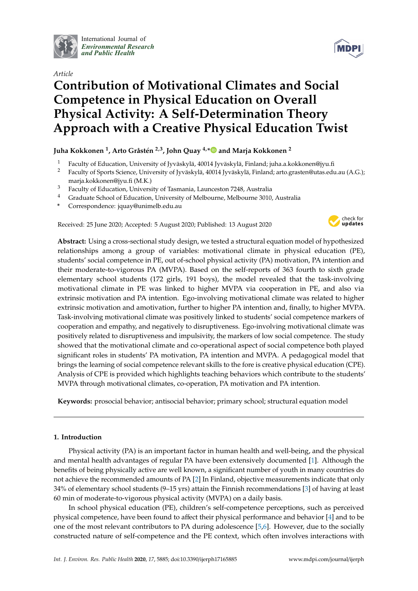

International Journal of *[Environmental Research](http://www.mdpi.com/journal/ijerph) and Public Health*

# *Article*

# **Contribution of Motivational Climates and Social Competence in Physical Education on Overall Physical Activity: A Self-Determination Theory Approach with a Creative Physical Education Twist**

# **Juha Kokkonen <sup>1</sup> , Arto Gråstén 2,3, John Quay 4,[\\*](https://orcid.org/0000-0002-0872-1705) and Marja Kokkonen <sup>2</sup>**

- <sup>1</sup> Faculty of Education, University of Jyväskylä, 40014 Jyväskylä, Finland; juha.a.kokkonen@jyu.fi
- <sup>2</sup> Faculty of Sports Science, University of Jyväskylä, 40014 Jyväskylä, Finland; arto.grasten@utas.edu.au (A.G.); marja.kokkonen@jyu.fi (M.K.)
- <sup>3</sup> Faculty of Education, University of Tasmania, Launceston 7248, Australia<br><sup>4</sup> Craduate School of Education, University of Malbourne, Malbourne, 2010
- <sup>4</sup> Graduate School of Education, University of Melbourne, Melbourne 3010, Australia
- **\*** Correspondence: jquay@unimelb.edu.au

Received: 25 June 2020; Accepted: 5 August 2020; Published: 13 August 2020



**Abstract:** Using a cross-sectional study design, we tested a structural equation model of hypothesized relationships among a group of variables: motivational climate in physical education (PE), students' social competence in PE, out of-school physical activity (PA) motivation, PA intention and their moderate-to-vigorous PA (MVPA). Based on the self-reports of 363 fourth to sixth grade elementary school students (172 girls, 191 boys), the model revealed that the task-involving motivational climate in PE was linked to higher MVPA via cooperation in PE, and also via extrinsic motivation and PA intention. Ego-involving motivational climate was related to higher extrinsic motivation and amotivation, further to higher PA intention and, finally, to higher MVPA. Task-involving motivational climate was positively linked to students' social competence markers of cooperation and empathy, and negatively to disruptiveness. Ego-involving motivational climate was positively related to disruptiveness and impulsivity, the markers of low social competence. The study showed that the motivational climate and co-operational aspect of social competence both played significant roles in students' PA motivation, PA intention and MVPA. A pedagogical model that brings the learning of social competence relevant skills to the fore is creative physical education (CPE). Analysis of CPE is provided which highlights teaching behaviors which contribute to the students' MVPA through motivational climates, co-operation, PA motivation and PA intention.

**Keywords:** prosocial behavior; antisocial behavior; primary school; structural equation model

## **1. Introduction**

Physical activity (PA) is an important factor in human health and well-being, and the physical and mental health advantages of regular PA have been extensively documented [\[1\]](#page-12-0). Although the benefits of being physically active are well known, a significant number of youth in many countries do not achieve the recommended amounts of PA [\[2\]](#page-12-1) In Finland, objective measurements indicate that only 34% of elementary school students (9–15 yrs) attain the Finnish recommendations [\[3\]](#page-12-2) of having at least 60 min of moderate-to-vigorous physical activity (MVPA) on a daily basis.

In school physical education (PE), children's self-competence perceptions, such as perceived physical competence, have been found to affect their physical performance and behavior [\[4\]](#page-12-3) and to be one of the most relevant contributors to PA during adolescence [\[5](#page-12-4)[,6\]](#page-12-5). However, due to the socially constructed nature of self-competence and the PE context, which often involves interactions with

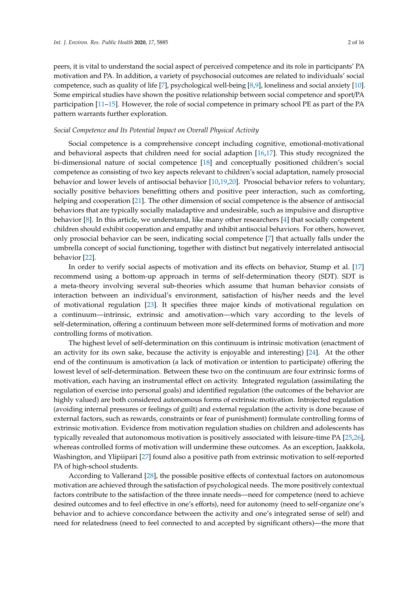peers, it is vital to understand the social aspect of perceived competence and its role in participants' PA motivation and PA. In addition, a variety of psychosocial outcomes are related to individuals' social competence, such as quality of life [\[7\]](#page-12-6), psychological well-being [\[8](#page-12-7)[,9\]](#page-12-8), loneliness and social anxiety [\[10\]](#page-12-9). Some empirical studies have shown the positive relationship between social competence and sport/PA participation [\[11](#page-12-10)[–15\]](#page-13-0). However, the role of social competence in primary school PE as part of the PA pattern warrants further exploration.

#### *Social Competence and Its Potential Impact on Overall Physical Activity*

Social competence is a comprehensive concept including cognitive, emotional-motivational and behavioral aspects that children need for social adaption [\[16,](#page-13-1)[17\]](#page-13-2). This study recognized the bi-dimensional nature of social competence [\[18\]](#page-13-3) and conceptually positioned children's social competence as consisting of two key aspects relevant to children's social adaptation, namely prosocial behavior and lower levels of antisocial behavior [\[10,](#page-12-9)[19,](#page-13-4)[20\]](#page-13-5). Prosocial behavior refers to voluntary, socially positive behaviors benefitting others and positive peer interaction, such as comforting, helping and cooperation [\[21\]](#page-13-6). The other dimension of social competence is the absence of antisocial behaviors that are typically socially maladaptive and undesirable, such as impulsive and disruptive behavior [\[8\]](#page-12-7). In this article, we understand, like many other researchers [\[4\]](#page-12-3) that socially competent children should exhibit cooperation and empathy and inhibit antisocial behaviors. For others, however, only prosocial behavior can be seen, indicating social competence [\[7\]](#page-12-6) that actually falls under the umbrella concept of social functioning, together with distinct but negatively interrelated antisocial behavior [\[22\]](#page-13-7).

In order to verify social aspects of motivation and its effects on behavior, Stump et al. [\[17\]](#page-13-2) recommend using a bottom-up approach in terms of self-determination theory (SDT). SDT is a meta-theory involving several sub-theories which assume that human behavior consists of interaction between an individual's environment, satisfaction of his/her needs and the level of motivational regulation [\[23\]](#page-13-8). It specifies three major kinds of motivational regulation on a continuum—intrinsic, extrinsic and amotivation—which vary according to the levels of self-determination, offering a continuum between more self-determined forms of motivation and more controlling forms of motivation.

The highest level of self-determination on this continuum is intrinsic motivation (enactment of an activity for its own sake, because the activity is enjoyable and interesting) [\[24\]](#page-13-9). At the other end of the continuum is amotivation (a lack of motivation or intention to participate) offering the lowest level of self-determination. Between these two on the continuum are four extrinsic forms of motivation, each having an instrumental effect on activity. Integrated regulation (assimilating the regulation of exercise into personal goals) and identified regulation (the outcomes of the behavior are highly valued) are both considered autonomous forms of extrinsic motivation. Introjected regulation (avoiding internal pressures or feelings of guilt) and external regulation (the activity is done because of external factors, such as rewards, constraints or fear of punishment) formulate controlling forms of extrinsic motivation. Evidence from motivation regulation studies on children and adolescents has typically revealed that autonomous motivation is positively associated with leisure-time PA [\[25,](#page-13-10)[26\]](#page-13-11), whereas controlled forms of motivation will undermine these outcomes. As an exception, Jaakkola, Washington, and Ylipiipari [\[27\]](#page-13-12) found also a positive path from extrinsic motivation to self-reported PA of high-school students.

According to Vallerand [\[28\]](#page-13-13), the possible positive effects of contextual factors on autonomous motivation are achieved through the satisfaction of psychological needs. The more positively contextual factors contribute to the satisfaction of the three innate needs—need for competence (need to achieve desired outcomes and to feel effective in one's efforts), need for autonomy (need to self-organize one's behavior and to achieve concordance between the activity and one's integrated sense of self) and need for relatedness (need to feel connected to and accepted by significant others)—the more that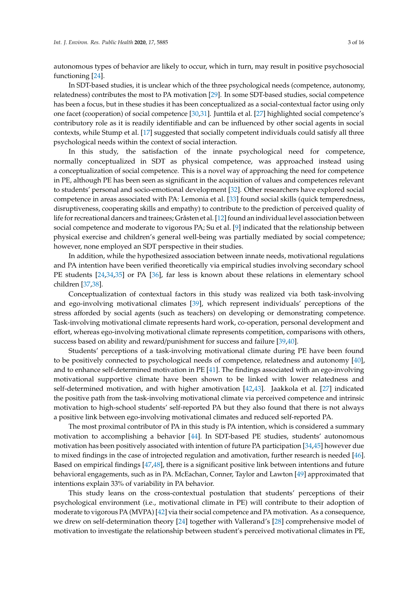autonomous types of behavior are likely to occur, which in turn, may result in positive psychosocial functioning [\[24\]](#page-13-9).

In SDT-based studies, it is unclear which of the three psychological needs (competence, autonomy, relatedness) contributes the most to PA motivation [\[29\]](#page-13-14). In some SDT-based studies, social competence has been a focus, but in these studies it has been conceptualized as a social-contextual factor using only one facet (cooperation) of social competence [\[30](#page-13-15)[,31\]](#page-13-16). Junttila et al. [\[27\]](#page-13-12) highlighted social competence's contributory role as it is readily identifiable and can be influenced by other social agents in social contexts, while Stump et al. [\[17\]](#page-13-2) suggested that socially competent individuals could satisfy all three psychological needs within the context of social interaction.

In this study, the satisfaction of the innate psychological need for competence, normally conceptualized in SDT as physical competence, was approached instead using a conceptualization of social competence. This is a novel way of approaching the need for competence in PE, although PE has been seen as significant in the acquisition of values and competences relevant to students' personal and socio-emotional development [\[32\]](#page-13-17). Other researchers have explored social competence in areas associated with PA: Lemonia et al. [\[33\]](#page-13-18) found social skills (quick temperedness, disruptiveness, cooperating skills and empathy) to contribute to the prediction of perceived quality of life for recreational dancers and trainees; Gråsten et al. [\[12\]](#page-12-11) found an individual level association between social competence and moderate to vigorous PA; Su et al. [\[9\]](#page-12-8) indicated that the relationship between physical exercise and children's general well-being was partially mediated by social competence; however, none employed an SDT perspective in their studies.

In addition, while the hypothesized association between innate needs, motivational regulations and PA intention have been verified theoretically via empirical studies involving secondary school PE students [\[24,](#page-13-9)[34,](#page-13-19)[35\]](#page-13-20) or PA [\[36\]](#page-14-0), far less is known about these relations in elementary school children [\[37,](#page-14-1)[38\]](#page-14-2).

Conceptualization of contextual factors in this study was realized via both task-involving and ego-involving motivational climates [\[39\]](#page-14-3), which represent individuals' perceptions of the stress afforded by social agents (such as teachers) on developing or demonstrating competence. Task-involving motivational climate represents hard work, co-operation, personal development and effort, whereas ego-involving motivational climate represents competition, comparisons with others, success based on ability and reward/punishment for success and failure [\[39,](#page-14-3)[40\]](#page-14-4).

Students' perceptions of a task-involving motivational climate during PE have been found to be positively connected to psychological needs of competence, relatedness and autonomy [\[40\]](#page-14-4), and to enhance self-determined motivation in PE [\[41\]](#page-14-5). The findings associated with an ego-involving motivational supportive climate have been shown to be linked with lower relatedness and self-determined motivation, and with higher amotivation [\[42,](#page-14-6)[43\]](#page-14-7). Jaakkola et al. [\[27\]](#page-13-12) indicated the positive path from the task-involving motivational climate via perceived competence and intrinsic motivation to high-school students' self-reported PA but they also found that there is not always a positive link between ego-involving motivational climates and reduced self-reported PA.

The most proximal contributor of PA in this study is PA intention, which is considered a summary motivation to accomplishing a behavior [\[44\]](#page-14-8). In SDT-based PE studies, students' autonomous motivation has been positively associated with intention of future PA participation [\[34,](#page-13-19)[45\]](#page-14-9) however due to mixed findings in the case of introjected regulation and amotivation, further research is needed [\[46\]](#page-14-10). Based on empirical findings [\[47](#page-14-11)[,48\]](#page-14-12), there is a significant positive link between intentions and future behavioral engagements, such as in PA. McEachan, Conner, Taylor and Lawton [\[49\]](#page-14-13) approximated that intentions explain 33% of variability in PA behavior.

This study leans on the cross-contextual postulation that students' perceptions of their psychological environment (i.e., motivational climate in PE) will contribute to their adoption of moderate to vigorous PA (MVPA) [\[42\]](#page-14-6) via their social competence and PA motivation. As a consequence, we drew on self-determination theory [\[24\]](#page-13-9) together with Vallerand's [\[28\]](#page-13-13) comprehensive model of motivation to investigate the relationship between student's perceived motivational climates in PE,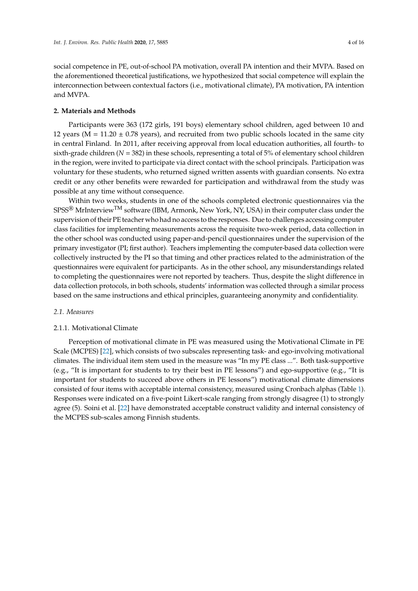social competence in PE, out-of-school PA motivation, overall PA intention and their MVPA. Based on the aforementioned theoretical justifications, we hypothesized that social competence will explain the interconnection between contextual factors (i.e., motivational climate), PA motivation, PA intention and MVPA.

#### **2. Materials and Methods**

Participants were 363 (172 girls, 191 boys) elementary school children, aged between 10 and 12 years ( $M = 11.20 \pm 0.78$  years), and recruited from two public schools located in the same city in central Finland. In 2011, after receiving approval from local education authorities, all fourth- to sixth-grade children (*N* = 382) in these schools, representing a total of 5% of elementary school children in the region, were invited to participate via direct contact with the school principals. Participation was voluntary for these students, who returned signed written assents with guardian consents. No extra credit or any other benefits were rewarded for participation and withdrawal from the study was possible at any time without consequence.

Within two weeks, students in one of the schools completed electronic questionnaires via the  $SPSS^{\circledR}$  MrInterview<sup>TM</sup> software (IBM, Armonk, New York, NY, USA) in their computer class under the supervision of their PE teacher who had no access to the responses. Due to challenges accessing computer class facilities for implementing measurements across the requisite two-week period, data collection in the other school was conducted using paper-and-pencil questionnaires under the supervision of the primary investigator (PI; first author). Teachers implementing the computer-based data collection were collectively instructed by the PI so that timing and other practices related to the administration of the questionnaires were equivalent for participants. As in the other school, any misunderstandings related to completing the questionnaires were not reported by teachers. Thus, despite the slight difference in data collection protocols, in both schools, students' information was collected through a similar process based on the same instructions and ethical principles, guaranteeing anonymity and confidentiality.

#### *2.1. Measures*

#### 2.1.1. Motivational Climate

Perception of motivational climate in PE was measured using the Motivational Climate in PE Scale (MCPES) [\[22\]](#page-13-7), which consists of two subscales representing task- and ego-involving motivational climates. The individual item stem used in the measure was "In my PE class ...". Both task-supportive (e.g., "It is important for students to try their best in PE lessons") and ego-supportive (e.g., "It is important for students to succeed above others in PE lessons") motivational climate dimensions consisted of four items with acceptable internal consistency, measured using Cronbach alphas (Table [1\)](#page-4-0). Responses were indicated on a five-point Likert-scale ranging from strongly disagree (1) to strongly agree (5). Soini et al. [\[22\]](#page-13-7) have demonstrated acceptable construct validity and internal consistency of the MCPES sub-scales among Finnish students.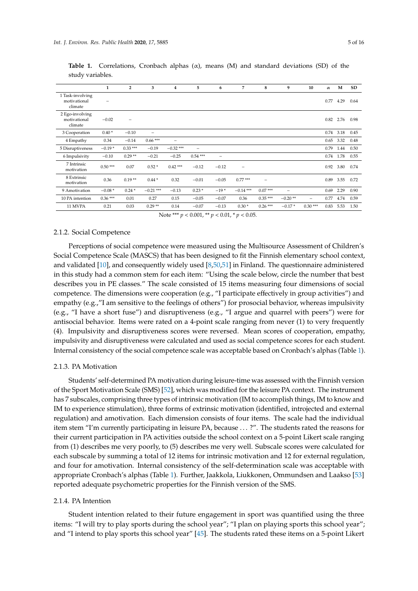|                                             | 1         | $\overline{2}$ | 3           | 4           | 5         | 6        | 7           | 8         | 9               | 10        | $\alpha$ | M    | SD   |
|---------------------------------------------|-----------|----------------|-------------|-------------|-----------|----------|-------------|-----------|-----------------|-----------|----------|------|------|
| 1 Task-involving<br>motivational<br>climate |           |                |             |             |           |          |             |           |                 |           | 0.77     | 4.29 | 0.64 |
| 2 Ego-involving<br>motivational<br>climate  | $-0.02$   | -              |             |             |           |          |             |           |                 |           | 0.82     | 2.76 | 0.98 |
| 3 Cooperation                               | $0.40*$   | $-0.10$        |             |             |           |          |             |           |                 |           | 0.74     | 3.18 | 0.45 |
| 4 Empathy                                   | 0.34      | $-0.14$        | $0.66***$   |             |           |          |             |           |                 |           | 0.65     | 3.32 | 0.48 |
| 5 Disruptiveness                            | $-0.19*$  | $0.33***$      | $-0.19$     | $-0.32$ *** | -         |          |             |           |                 |           | 0.79     | 1.44 | 0.50 |
| 6 Impulsivity                               | $-0.10$   | $0.29**$       | $-0.21$     | $-0.25$     | $0.54***$ | $\equiv$ |             |           |                 |           | 0.74     | 1.78 | 0.55 |
| 7 Intrinsic<br>motivation                   | $0.50***$ | 0.07           | $0.52*$     | $0.42***$   | $-0.12$   | $-0.12$  |             |           |                 |           | 0.92     | 3.80 | 0.74 |
| 8 Extrinsic<br>motivation                   | 0.36      | $0.19**$       | $0.44*$     | 0.32        | $-0.01$   | $-0.05$  | $0.77***$   | $\equiv$  |                 |           | 0.89     | 3.55 | 0.72 |
| 9 Amotivation                               | $-0.08*$  | $0.24*$        | $-0.21$ *** | $-0.13$     | $0.23*$   | $-19*$   | $-0.14$ *** | $0.07***$ | $\qquad \qquad$ |           | 0.69     | 2.29 | 0.90 |
| 10 PA intention                             | $0.36***$ | 0.01           | 0.27        | 0.15        | $-0.05$   | $-0.07$  | 0.36        | $0.35***$ | $-0.20**$       | -         | 0.77     | 4.74 | 0.59 |
| 11 MVPA                                     | 0.21      | 0.03           | $0.29**$    | 0.14        | $-0.07$   | $-0.13$  | $0.30*$     | $0.26***$ | $-0.17*$        | $0.30***$ | 0.83     | 5.53 | 1.50 |

<span id="page-4-0"></span>**Table 1.** Correlations, Cronbach alphas  $(\alpha)$ , means  $(M)$  and standard deviations (SD) of the study variables.

Note \*\*\* *p* < 0.001, \*\* *p* < 0.01, \* *p* < 0.05.

#### 2.1.2. Social Competence

Perceptions of social competence were measured using the Multisource Assessment of Children's Social Competence Scale (MASCS) that has been designed to fit the Finnish elementary school context, and validated [\[10\]](#page-12-9), and consequently widely used [\[8](#page-12-7)[,50](#page-14-14)[,51\]](#page-14-15) in Finland. The questionnaire administered in this study had a common stem for each item: "Using the scale below, circle the number that best describes you in PE classes." The scale consisted of 15 items measuring four dimensions of social competence. The dimensions were cooperation (e.g., "I participate effectively in group activities") and empathy (e.g.,"I am sensitive to the feelings of others") for prosocial behavior, whereas impulsivity (e.g., "I have a short fuse") and disruptiveness (e.g., "I argue and quarrel with peers") were for antisocial behavior. Items were rated on a 4-point scale ranging from never (1) to very frequently (4). Impulsivity and disruptiveness scores were reversed. Mean scores of cooperation, empathy, impulsivity and disruptiveness were calculated and used as social competence scores for each student. Internal consistency of the social competence scale was acceptable based on Cronbach's alphas (Table [1\)](#page-4-0).

#### 2.1.3. PA Motivation

Students' self-determined PA motivation during leisure-time was assessed with the Finnish version of the Sport Motivation Scale (SMS) [\[52\]](#page-14-16), which was modified for the leisure PA context. The instrument has 7 subscales, comprising three types of intrinsic motivation (IM to accomplish things, IM to know and IM to experience stimulation), three forms of extrinsic motivation (identified, introjected and external regulation) and amotivation. Each dimension consists of four items. The scale had the individual item stem "I'm currently participating in leisure PA, because . . . ?". The students rated the reasons for their current participation in PA activities outside the school context on a 5-point Likert scale ranging from (1) describes me very poorly, to (5) describes me very well. Subscale scores were calculated for each subscale by summing a total of 12 items for intrinsic motivation and 12 for external regulation, and four for amotivation. Internal consistency of the self-determination scale was acceptable with appropriate Cronbach's alphas (Table [1\)](#page-4-0). Further, Jaakkola, Liukkonen, Ommundsen and Laakso [\[53\]](#page-14-17) reported adequate psychometric properties for the Finnish version of the SMS.

#### 2.1.4. PA Intention

Student intention related to their future engagement in sport was quantified using the three items: "I will try to play sports during the school year"; "I plan on playing sports this school year"; and "I intend to play sports this school year" [\[45\]](#page-14-9). The students rated these items on a 5-point Likert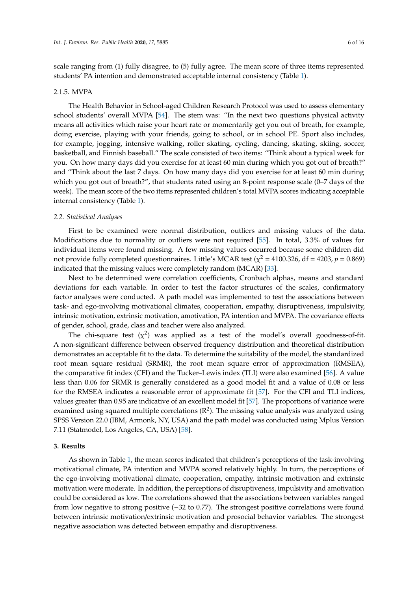scale ranging from (1) fully disagree, to (5) fully agree. The mean score of three items represented students' PA intention and demonstrated acceptable internal consistency (Table [1\)](#page-4-0).

#### 2.1.5. MVPA

The Health Behavior in School-aged Children Research Protocol was used to assess elementary school students' overall MVPA [\[54\]](#page-14-18). The stem was: "In the next two questions physical activity means all activities which raise your heart rate or momentarily get you out of breath, for example, doing exercise, playing with your friends, going to school, or in school PE. Sport also includes, for example, jogging, intensive walking, roller skating, cycling, dancing, skating, skiing, soccer, basketball, and Finnish baseball." The scale consisted of two items: "Think about a typical week for you. On how many days did you exercise for at least 60 min during which you got out of breath?" and "Think about the last 7 days. On how many days did you exercise for at least 60 min during which you got out of breath?", that students rated using an 8-point response scale (0–7 days of the week). The mean score of the two items represented children's total MVPA scores indicating acceptable internal consistency (Table [1\)](#page-4-0).

#### *2.2. Statistical Analyses*

First to be examined were normal distribution, outliers and missing values of the data. Modifications due to normality or outliers were not required [\[55\]](#page-14-19). In total, 3.3% of values for individual items were found missing. A few missing values occurred because some children did not provide fully completed questionnaires. Little's MCAR test ( $\chi^2$  = 4100.326, df = 4203,  $p$  = 0.869) indicated that the missing values were completely random (MCAR) [\[33\]](#page-13-18).

Next to be determined were correlation coefficients, Cronbach alphas, means and standard deviations for each variable. In order to test the factor structures of the scales, confirmatory factor analyses were conducted. A path model was implemented to test the associations between task- and ego-involving motivational climates, cooperation, empathy, disruptiveness, impulsivity, intrinsic motivation, extrinsic motivation, amotivation, PA intention and MVPA. The covariance effects of gender, school, grade, class and teacher were also analyzed.

The chi-square test  $(x^2)$  was applied as a test of the model's overall goodness-of-fit. A non-significant difference between observed frequency distribution and theoretical distribution demonstrates an acceptable fit to the data. To determine the suitability of the model, the standardized root mean square residual (SRMR), the root mean square error of approximation (RMSEA), the comparative fit index (CFI) and the Tucker–Lewis index (TLI) were also examined [\[56\]](#page-14-20). A value less than 0.06 for SRMR is generally considered as a good model fit and a value of 0.08 or less for the RMSEA indicates a reasonable error of approximate fit [\[57\]](#page-14-21). For the CFI and TLI indices, values greater than 0.95 are indicative of an excellent model fit [\[57\]](#page-14-21). The proportions of variance were examined using squared multiple correlations ( $\mathbb{R}^2$ ). The missing value analysis was analyzed using SPSS Version 22.0 (IBM, Armonk, NY, USA) and the path model was conducted using Mplus Version 7.11 (Statmodel, Los Angeles, CA, USA) [\[58\]](#page-14-22).

#### **3. Results**

As shown in Table [1,](#page-4-0) the mean scores indicated that children's perceptions of the task-involving motivational climate, PA intention and MVPA scored relatively highly. In turn, the perceptions of the ego-involving motivational climate, cooperation, empathy, intrinsic motivation and extrinsic motivation were moderate. In addition, the perceptions of disruptiveness, impulsivity and amotivation could be considered as low. The correlations showed that the associations between variables ranged from low negative to strong positive (−32 to 0.77). The strongest positive correlations were found between intrinsic motivation/extrinsic motivation and prosocial behavior variables. The strongest negative association was detected between empathy and disruptiveness.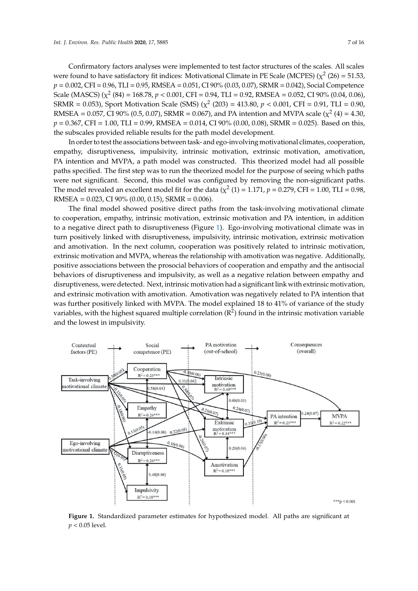Confirmatory factors analyses were implemented to test factor structures of the scales. All scales were found to have satisfactory fit indices: Motivational Climate in PE Scale (MCPES) ( $\chi^2$  (26) = 51.53, *p* = 0.002, CFI = 0.96, TLI = 0.95, RMSEA = 0.051, CI 90% (0.03, 0.07), SRMR = 0.042), Social Competence Scale (MASCS) ( $\chi^2$  (84) = 168.78, *p* < 0.001, CFI = 0.94, TLI = 0.92, RMSEA = 0.052, CI 90% (0.04, 0.06), SRMR = 0.053), Sport Motivation Scale (SMS) ( $\chi^2$  (203) = 413.80,  $p < 0.001$ , CFI = 0.91, TLI = 0.90, RMSEA =  $0.057$ , CI 90% (0.5, 0.07), SRMR = 0.067), and PA intention and MVPA scale ( $\chi^2$  (4) = 4.30, *p* = 0.367, CFI = 1.00, TLI = 0.99, RMSEA = 0.014, CI 90% (0.00, 0.08), SRMR = 0.025). Based on this, the subscales provided reliable results for the path model development.

In order to test the associations between task- and ego-involving motivational climates, cooperation, empathy, disruptiveness, impulsivity, intrinsic motivation, extrinsic motivation, amotivation, PA intention and MVPA, a path model was constructed. This theorized model had all possible paths specified. The first step was to run the theorized model for the purpose of seeing which paths were not significant. Second, this model was configured by removing the non-significant paths. The model revealed an excellent model fit for the data ( $\chi^2$  (1) = 1.171, *p* = 0.279, CFI = 1.00, TLI = 0.98, RMSEA = 0.023, CI 90% (0.00, 0.15), SRMR = 0.006).

The final model showed positive direct paths from the task-involving motivational climate to cooperation, empathy, intrinsic motivation, extrinsic motivation and PA intention, in addition to a negative direct path to disruptiveness (Figure [1\)](#page-6-0). Ego-involving motivational climate was in *Internal distribution* and *Internal and Theory Computer Ligate 1).* Ego inversing measurement emants was in and amotivation. In the next column, cooperation was positively related to intrinsic motivation, extrinsic motivation and MVPA, whereas the relationship with amotivation was negative. Additionally, motivation and MVPA, whereas the relationship with amotivation was negative. Additionally, positive associations between the prosocial behaviors of cooperation and empathy and the antisocial positive associations between the prosocial behaviors of cooperation and empathy and the antisocial behaviors of disruptiveness and impulsivity, as well as a negative relation between empathy and behaviors of disruptiveness and impulsivity, as well as a negative relation between empathy and disruptiveness, were detected. Next, intrinsic motivation had a significant link with extrinsic motivation, disruptiveness, were detected. Next, intrinsic motivation had a significant link with extrinsic and extrinsic motivation with amotivation. Amotivation was negatively related to PA intention that was further positively linked with MVPA. The model explained 18 to 41% of variance of the study variables, with the highest squared multiple correlation  $(R^2)$  found in the intrinsic motivation variable and the lowest in impulsivity.

<span id="page-6-0"></span>

**Figure 1.** Standardized parameter estimates for hypothesized model. All paths are significant at 0.05 level. *p* < 0.05 level.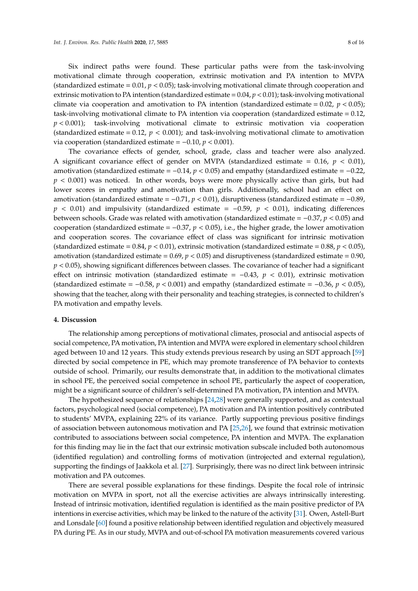Six indirect paths were found. These particular paths were from the task-involving motivational climate through cooperation, extrinsic motivation and PA intention to MVPA (standardized estimate  $= 0.01$ ,  $p < 0.05$ ); task-involving motivational climate through cooperation and extrinsic motivation to PA intention (standardized estimate = 0.04, *p* < 0.01); task-involving motivational climate via cooperation and amotivation to PA intention (standardized estimate  $= 0.02$ ,  $p < 0.05$ ); task-involving motivational climate to PA intention via cooperation (standardized estimate = 0.12, *p* < 0.001); task-involving motivational climate to extrinsic motivation via cooperation (standardized estimate =  $0.12$ ,  $p < 0.001$ ); and task-involving motivational climate to amotivation via cooperation (standardized estimate = −0.10, *p* < 0.001).

The covariance effects of gender, school, grade, class and teacher were also analyzed. A significant covariance effect of gender on MVPA (standardized estimate =  $0.16$ ,  $p < 0.01$ ), amotivation (standardized estimate = −0.14, *p* < 0.05) and empathy (standardized estimate = −0.22, *p* < 0.001) was noticed. In other words, boys were more physically active than girls, but had lower scores in empathy and amotivation than girls. Additionally, school had an effect on amotivation (standardized estimate = −0.71, *p* < 0.01), disruptiveness (standardized estimate = −0.89,  $p \le 0.01$ ) and impulsivity (standardized estimate =  $-0.59$ ,  $p \le 0.01$ ), indicating differences between schools. Grade was related with amotivation (standardized estimate = −0.37, *p* < 0.05) and cooperation (standardized estimate  $= -0.37$ ,  $p < 0.05$ ), i.e., the higher grade, the lower amotivation and cooperation scores. The covariance effect of class was significant for intrinsic motivation (standardized estimate =  $0.84$ ,  $p < 0.01$ ), extrinsic motivation (standardized estimate =  $0.88$ ,  $p < 0.05$ ), amotivation (standardized estimate =  $0.69$ ,  $p < 0.05$ ) and disruptiveness (standardized estimate =  $0.90$ , *p* < 0.05), showing significant differences between classes. The covariance of teacher had a significant effect on intrinsic motivation (standardized estimate =  $-0.43$ ,  $p < 0.01$ ), extrinsic motivation (standardized estimate = −0.58, *p* < 0.001) and empathy (standardized estimate = −0.36, *p* < 0.05), showing that the teacher, along with their personality and teaching strategies, is connected to children's PA motivation and empathy levels.

#### **4. Discussion**

The relationship among perceptions of motivational climates, prosocial and antisocial aspects of social competence, PA motivation, PA intention and MVPA were explored in elementary school children aged between 10 and 12 years. This study extends previous research by using an SDT approach [\[59\]](#page-15-0) directed by social competence in PE, which may promote transference of PA behavior to contexts outside of school. Primarily, our results demonstrate that, in addition to the motivational climates in school PE, the perceived social competence in school PE, particularly the aspect of cooperation, might be a significant source of children's self-determined PA motivation, PA intention and MVPA.

The hypothesized sequence of relationships [\[24](#page-13-9)[,28\]](#page-13-13) were generally supported, and as contextual factors, psychological need (social competence), PA motivation and PA intention positively contributed to students' MVPA, explaining 22% of its variance. Partly supporting previous positive findings of association between autonomous motivation and PA [\[25](#page-13-10)[,26\]](#page-13-11), we found that extrinsic motivation contributed to associations between social competence, PA intention and MVPA. The explanation for this finding may lie in the fact that our extrinsic motivation subscale included both autonomous (identified regulation) and controlling forms of motivation (introjected and external regulation), supporting the findings of Jaakkola et al. [\[27\]](#page-13-12). Surprisingly, there was no direct link between intrinsic motivation and PA outcomes.

There are several possible explanations for these findings. Despite the focal role of intrinsic motivation on MVPA in sport, not all the exercise activities are always intrinsically interesting. Instead of intrinsic motivation, identified regulation is identified as the main positive predictor of PA intentions in exercise activities, which may be linked to the nature of the activity [\[31\]](#page-13-16). Owen, Astell-Burt and Lonsdale [\[60\]](#page-15-1) found a positive relationship between identified regulation and objectively measured PA during PE. As in our study, MVPA and out-of-school PA motivation measurements covered various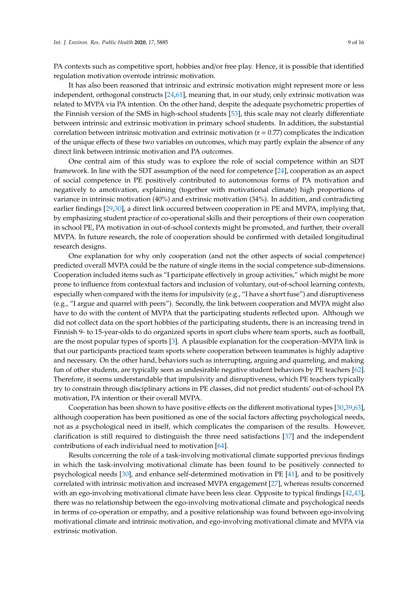PA contexts such as competitive sport, hobbies and/or free play. Hence, it is possible that identified regulation motivation overrode intrinsic motivation.

It has also been reasoned that intrinsic and extrinsic motivation might represent more or less independent, orthogonal constructs [\[24](#page-13-9)[,61\]](#page-15-2), meaning that, in our study, only extrinsic motivation was related to MVPA via PA intention. On the other hand, despite the adequate psychometric properties of the Finnish version of the SMS in high-school students [\[53\]](#page-14-17), this scale may not clearly differentiate between intrinsic and extrinsic motivation in primary school students. In addition, the substantial correlation between intrinsic motivation and extrinsic motivation ( $r = 0.77$ ) complicates the indication of the unique effects of these two variables on outcomes, which may partly explain the absence of any direct link between intrinsic motivation and PA outcomes.

One central aim of this study was to explore the role of social competence within an SDT framework. In line with the SDT assumption of the need for competence [\[24\]](#page-13-9), cooperation as an aspect of social competence in PE positively contributed to autonomous forms of PA motivation and negatively to amotivation, explaining (together with motivational climate) high proportions of variance in intrinsic motivation (40%) and extrinsic motivation (34%). In addition, and contradicting earlier findings [\[29,](#page-13-14)[30\]](#page-13-15), a direct link occurred between cooperation in PE and MVPA, implying that, by emphasizing student practice of co-operational skills and their perceptions of their own cooperation in school PE, PA motivation in out-of-school contexts might be promoted, and further, their overall MVPA. In future research, the role of cooperation should be confirmed with detailed longitudinal research designs.

One explanation for why only cooperation (and not the other aspects of social competence) predicted overall MVPA could be the nature of single items in the social competence sub-dimensions. Cooperation included items such as "I participate effectively in group activities," which might be more prone to influence from contextual factors and inclusion of voluntary, out-of-school learning contexts, especially when compared with the items for impulsivity (e.g., "I have a short fuse") and disruptiveness (e.g., "I argue and quarrel with peers"). Secondly, the link between cooperation and MVPA might also have to do with the content of MVPA that the participating students reflected upon. Although we did not collect data on the sport hobbies of the participating students, there is an increasing trend in Finnish 9- to 15-year-olds to do organized sports in sport clubs where team sports, such as football, are the most popular types of sports [\[3\]](#page-12-2). A plausible explanation for the cooperation–MVPA link is that our participants practiced team sports where cooperation between teammates is highly adaptive and necessary. On the other hand, behaviors such as interrupting, arguing and quarreling, and making fun of other students, are typically seen as undesirable negative student behaviors by PE teachers [\[62\]](#page-15-3). Therefore, it seems understandable that impulsivity and disruptiveness, which PE teachers typically try to constrain through disciplinary actions in PE classes, did not predict students' out-of-school PA motivation, PA intention or their overall MVPA.

Cooperation has been shown to have positive effects on the different motivational types [\[30](#page-13-15)[,39](#page-14-3)[,63\]](#page-15-4), although cooperation has been positioned as one of the social factors affecting psychological needs, not as a psychological need in itself, which complicates the comparison of the results. However, clarification is still required to distinguish the three need satisfactions [\[37\]](#page-14-1) and the independent contributions of each individual need to motivation [\[64\]](#page-15-5).

Results concerning the role of a task-involving motivational climate supported previous findings in which the task-involving motivational climate has been found to be positively connected to psychological needs [\[30\]](#page-13-15), and enhance self-determined motivation in PE [\[41\]](#page-14-5), and to be positively correlated with intrinsic motivation and increased MVPA engagement [\[27\]](#page-13-12), whereas results concerned with an ego-involving motivational climate have been less clear. Opposite to typical findings [\[42,](#page-14-6)[43\]](#page-14-7), there was no relationship between the ego-involving motivational climate and psychological needs in terms of co-operation or empathy, and a positive relationship was found between ego-involving motivational climate and intrinsic motivation, and ego-involving motivational climate and MVPA via extrinsic motivation.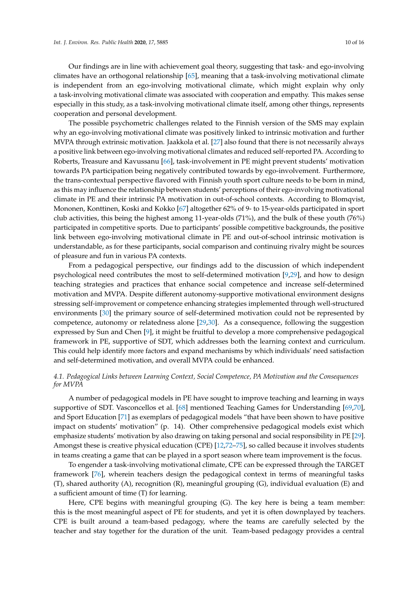Our findings are in line with achievement goal theory, suggesting that task- and ego-involving climates have an orthogonal relationship [\[65\]](#page-15-6), meaning that a task-involving motivational climate is independent from an ego-involving motivational climate, which might explain why only a task-involving motivational climate was associated with cooperation and empathy. This makes sense especially in this study, as a task-involving motivational climate itself, among other things, represents cooperation and personal development.

The possible psychometric challenges related to the Finnish version of the SMS may explain why an ego-involving motivational climate was positively linked to intrinsic motivation and further MVPA through extrinsic motivation. Jaakkola et al. [\[27\]](#page-13-12) also found that there is not necessarily always a positive link between ego-involving motivational climates and reduced self-reported PA. According to Roberts, Treasure and Kavussanu [\[66\]](#page-15-7), task-involvement in PE might prevent students' motivation towards PA participation being negatively contributed towards by ego-involvement. Furthermore, the trans-contextual perspective flavored with Finnish youth sport culture needs to be born in mind, as this may influence the relationship between students' perceptions of their ego-involving motivational climate in PE and their intrinsic PA motivation in out-of-school contexts. According to Blomqvist, Mononen, Konttinen, Koski and Kokko [\[67\]](#page-15-8) altogether 62% of 9- to 15-year-olds participated in sport club activities, this being the highest among 11-year-olds (71%), and the bulk of these youth (76%) participated in competitive sports. Due to participants' possible competitive backgrounds, the positive link between ego-involving motivational climate in PE and out-of-school intrinsic motivation is understandable, as for these participants, social comparison and continuing rivalry might be sources of pleasure and fun in various PA contexts.

From a pedagogical perspective, our findings add to the discussion of which independent psychological need contributes the most to self-determined motivation [\[9](#page-12-8)[,29\]](#page-13-14), and how to design teaching strategies and practices that enhance social competence and increase self-determined motivation and MVPA. Despite different autonomy-supportive motivational environment designs stressing self-improvement or competence enhancing strategies implemented through well-structured environments [\[30\]](#page-13-15) the primary source of self-determined motivation could not be represented by competence, autonomy or relatedness alone [\[29](#page-13-14)[,30\]](#page-13-15). As a consequence, following the suggestion expressed by Sun and Chen [\[9\]](#page-12-8), it might be fruitful to develop a more comprehensive pedagogical framework in PE, supportive of SDT, which addresses both the learning context and curriculum. This could help identify more factors and expand mechanisms by which individuals' need satisfaction and self-determined motivation, and overall MVPA could be enhanced.

## *4.1. Pedagogical Links between Learning Context, Social Competence, PA Motivation and the Consequences for MVPA*

A number of pedagogical models in PE have sought to improve teaching and learning in ways supportive of SDT. Vasconcellos et al. [\[68\]](#page-15-9) mentioned Teaching Games for Understanding [\[69,](#page-15-10)[70\]](#page-15-11), and Sport Education [\[71\]](#page-15-12) as exemplars of pedagogical models "that have been shown to have positive impact on students' motivation" (p. 14). Other comprehensive pedagogical models exist which emphasize students' motivation by also drawing on taking personal and social responsibility in PE [\[29\]](#page-13-14). Amongst these is creative physical education (CPE) [\[12](#page-12-11)[,72](#page-15-13)[–75\]](#page-15-14), so called because it involves students in teams creating a game that can be played in a sport season where team improvement is the focus.

To engender a task-involving motivational climate, CPE can be expressed through the TARGET framework [\[76\]](#page-15-15), wherein teachers design the pedagogical context in terms of meaningful tasks (T), shared authority (A), recognition (R), meaningful grouping (G), individual evaluation (E) and a sufficient amount of time (T) for learning.

Here, CPE begins with meaningful grouping (G). The key here is being a team member: this is the most meaningful aspect of PE for students, and yet it is often downplayed by teachers. CPE is built around a team-based pedagogy, where the teams are carefully selected by the teacher and stay together for the duration of the unit. Team-based pedagogy provides a central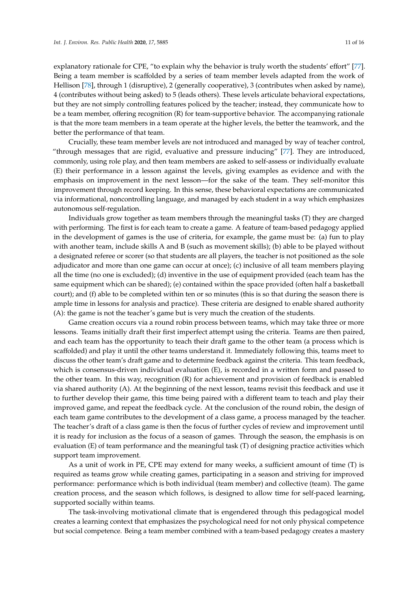explanatory rationale for CPE, "to explain why the behavior is truly worth the students' effort" [\[77\]](#page-15-16). Being a team member is scaffolded by a series of team member levels adapted from the work of Hellison [\[78\]](#page-15-17), through 1 (disruptive), 2 (generally cooperative), 3 (contributes when asked by name), 4 (contributes without being asked) to 5 (leads others). These levels articulate behavioral expectations, but they are not simply controlling features policed by the teacher; instead, they communicate how to be a team member, offering recognition (R) for team-supportive behavior. The accompanying rationale is that the more team members in a team operate at the higher levels, the better the teamwork, and the better the performance of that team.

Crucially, these team member levels are not introduced and managed by way of teacher control, "through messages that are rigid, evaluative and pressure inducing" [\[77\]](#page-15-16). They are introduced, commonly, using role play, and then team members are asked to self-assess or individually evaluate (E) their performance in a lesson against the levels, giving examples as evidence and with the emphasis on improvement in the next lesson—for the sake of the team. They self-monitor this improvement through record keeping. In this sense, these behavioral expectations are communicated via informational, noncontrolling language, and managed by each student in a way which emphasizes autonomous self-regulation.

Individuals grow together as team members through the meaningful tasks (T) they are charged with performing. The first is for each team to create a game. A feature of team-based pedagogy applied in the development of games is the use of criteria, for example, the game must be: (a) fun to play with another team, include skills A and B (such as movement skills); (b) able to be played without a designated referee or scorer (so that students are all players, the teacher is not positioned as the sole adjudicator and more than one game can occur at once); (c) inclusive of all team members playing all the time (no one is excluded); (d) inventive in the use of equipment provided (each team has the same equipment which can be shared); (e) contained within the space provided (often half a basketball court); and (f) able to be completed within ten or so minutes (this is so that during the season there is ample time in lessons for analysis and practice). These criteria are designed to enable shared authority (A): the game is not the teacher's game but is very much the creation of the students.

Game creation occurs via a round robin process between teams, which may take three or more lessons. Teams initially draft their first imperfect attempt using the criteria. Teams are then paired, and each team has the opportunity to teach their draft game to the other team (a process which is scaffolded) and play it until the other teams understand it. Immediately following this, teams meet to discuss the other team's draft game and to determine feedback against the criteria. This team feedback, which is consensus-driven individual evaluation (E), is recorded in a written form and passed to the other team. In this way, recognition (R) for achievement and provision of feedback is enabled via shared authority (A). At the beginning of the next lesson, teams revisit this feedback and use it to further develop their game, this time being paired with a different team to teach and play their improved game, and repeat the feedback cycle. At the conclusion of the round robin, the design of each team game contributes to the development of a class game, a process managed by the teacher. The teacher's draft of a class game is then the focus of further cycles of review and improvement until it is ready for inclusion as the focus of a season of games. Through the season, the emphasis is on evaluation (E) of team performance and the meaningful task (T) of designing practice activities which support team improvement.

As a unit of work in PE, CPE may extend for many weeks, a sufficient amount of time (T) is required as teams grow while creating games, participating in a season and striving for improved performance: performance which is both individual (team member) and collective (team). The game creation process, and the season which follows, is designed to allow time for self-paced learning, supported socially within teams.

The task-involving motivational climate that is engendered through this pedagogical model creates a learning context that emphasizes the psychological need for not only physical competence but social competence. Being a team member combined with a team-based pedagogy creates a mastery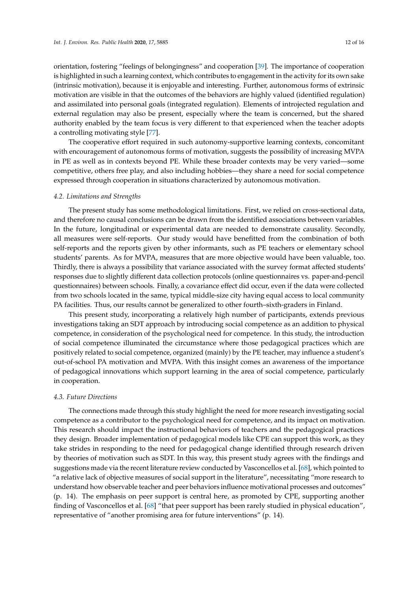orientation, fostering "feelings of belongingness" and cooperation [\[39\]](#page-14-3). The importance of cooperation is highlighted in such a learning context, which contributes to engagement in the activity for its own sake (intrinsic motivation), because it is enjoyable and interesting. Further, autonomous forms of extrinsic motivation are visible in that the outcomes of the behaviors are highly valued (identified regulation) and assimilated into personal goals (integrated regulation). Elements of introjected regulation and external regulation may also be present, especially where the team is concerned, but the shared authority enabled by the team focus is very different to that experienced when the teacher adopts a controlling motivating style [\[77\]](#page-15-16).

The cooperative effort required in such autonomy-supportive learning contexts, concomitant with encouragement of autonomous forms of motivation, suggests the possibility of increasing MVPA in PE as well as in contexts beyond PE. While these broader contexts may be very varied—some competitive, others free play, and also including hobbies—they share a need for social competence expressed through cooperation in situations characterized by autonomous motivation.

#### *4.2. Limitations and Strengths*

The present study has some methodological limitations. First, we relied on cross-sectional data, and therefore no causal conclusions can be drawn from the identified associations between variables. In the future, longitudinal or experimental data are needed to demonstrate causality. Secondly, all measures were self-reports. Our study would have benefitted from the combination of both self-reports and the reports given by other informants, such as PE teachers or elementary school students' parents. As for MVPA, measures that are more objective would have been valuable, too. Thirdly, there is always a possibility that variance associated with the survey format affected students' responses due to slightly different data collection protocols (online questionnaires vs. paper-and-pencil questionnaires) between schools. Finally, a covariance effect did occur, even if the data were collected from two schools located in the same, typical middle-size city having equal access to local community PA facilities. Thus, our results cannot be generalized to other fourth–sixth-graders in Finland.

This present study, incorporating a relatively high number of participants, extends previous investigations taking an SDT approach by introducing social competence as an addition to physical competence, in consideration of the psychological need for competence. In this study, the introduction of social competence illuminated the circumstance where those pedagogical practices which are positively related to social competence, organized (mainly) by the PE teacher, may influence a student's out-of-school PA motivation and MVPA. With this insight comes an awareness of the importance of pedagogical innovations which support learning in the area of social competence, particularly in cooperation.

#### *4.3. Future Directions*

The connections made through this study highlight the need for more research investigating social competence as a contributor to the psychological need for competence, and its impact on motivation. This research should impact the instructional behaviors of teachers and the pedagogical practices they design. Broader implementation of pedagogical models like CPE can support this work, as they take strides in responding to the need for pedagogical change identified through research driven by theories of motivation such as SDT. In this way, this present study agrees with the findings and suggestions made via the recent literature review conducted by Vasconcellos et al. [\[68\]](#page-15-9), which pointed to "a relative lack of objective measures of social support in the literature", necessitating "more research to understand how observable teacher and peer behaviors influence motivational processes and outcomes" (p. 14). The emphasis on peer support is central here, as promoted by CPE, supporting another finding of Vasconcellos et al. [\[68\]](#page-15-9) "that peer support has been rarely studied in physical education", representative of "another promising area for future interventions" (p. 14).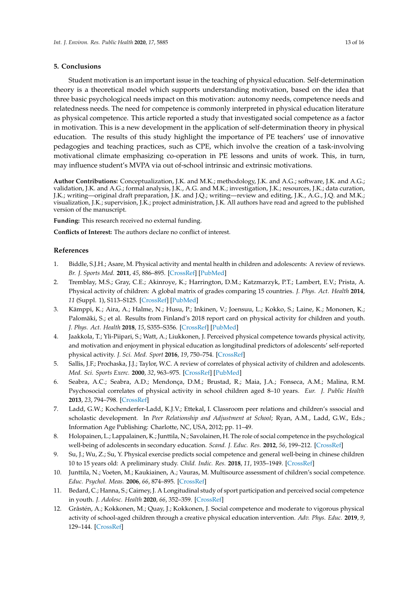#### **5. Conclusions**

Student motivation is an important issue in the teaching of physical education. Self-determination theory is a theoretical model which supports understanding motivation, based on the idea that three basic psychological needs impact on this motivation: autonomy needs, competence needs and relatedness needs. The need for competence is commonly interpreted in physical education literature as physical competence. This article reported a study that investigated social competence as a factor in motivation. This is a new development in the application of self-determination theory in physical education. The results of this study highlight the importance of PE teachers' use of innovative pedagogies and teaching practices, such as CPE, which involve the creation of a task-involving motivational climate emphasizing co-operation in PE lessons and units of work. This, in turn, may influence student's MVPA via out of-school intrinsic and extrinsic motivations.

**Author Contributions:** Conceptualization, J.K. and M.K.; methodology, J.K. and A.G.; software, J.K. and A.G.; validation, J.K. and A.G.; formal analysis, J.K., A.G. and M.K.; investigation, J.K.; resources, J.K.; data curation, J.K.; writing—original draft preparation, J.K. and J.Q.; writing—review and editing, J.K., A.G., J.Q. and M.K.; visualization, J.K.; supervision, J.K.; project administration, J.K. All authors have read and agreed to the published version of the manuscript.

**Funding:** This research received no external funding.

**Conflicts of Interest:** The authors declare no conflict of interest.

#### **References**

- <span id="page-12-0"></span>1. Biddle, S.J.H.; Asare, M. Physical activity and mental health in children and adolescents: A review of reviews. *Br. J. Sports Med.* **2011**, *45*, 886–895. [\[CrossRef\]](http://dx.doi.org/10.1136/bjsports-2011-090185) [\[PubMed\]](http://www.ncbi.nlm.nih.gov/pubmed/21807669)
- <span id="page-12-1"></span>2. Tremblay, M.S.; Gray, C.E.; Akinroye, K.; Harrington, D.M.; Katzmarzyk, P.T.; Lambert, E.V.; Prista, A. Physical activity of children: A global matrix of grades comparing 15 countries. *J. Phys. Act. Health* **2014**, *11* (Suppl. 1), S113–S125. [\[CrossRef\]](http://dx.doi.org/10.1123/jpah.2014-0177) [\[PubMed\]](http://www.ncbi.nlm.nih.gov/pubmed/25426906)
- <span id="page-12-2"></span>3. Kämppi, K.; Aira, A.; Halme, N.; Husu, P.; Inkinen, V.; Joensuu, L.; Kokko, S.; Laine, K.; Mononen, K.; Palomäki, S.; et al. Results from Finland's 2018 report card on physical activity for children and youth. *J. Phys. Act. Health* **2018**, *15*, S355–S356. [\[CrossRef\]](http://dx.doi.org/10.1123/jpah.2018-0510) [\[PubMed\]](http://www.ncbi.nlm.nih.gov/pubmed/30475141)
- <span id="page-12-3"></span>4. Jaakkola, T.; Yli-Piipari, S.; Watt, A.; Liukkonen, J. Perceived physical competence towards physical activity, and motivation and enjoyment in physical education as longitudinal predictors of adolescents' self-reported physical activity. *J. Sci. Med. Sport* **2016**, *19*, 750–754. [\[CrossRef\]](http://dx.doi.org/10.1016/j.jsams.2015.11.003)
- <span id="page-12-4"></span>5. Sallis, J.F.; Prochaska, J.J.; Taylor, W.C. A review of correlates of physical activity of children and adolescents. *Med. Sci. Sports Exerc.* **2000**, *32*, 963–975. [\[CrossRef\]](http://dx.doi.org/10.1097/00005768-200005000-00014) [\[PubMed\]](http://www.ncbi.nlm.nih.gov/pubmed/10795788)
- <span id="page-12-5"></span>6. Seabra, A.C.; Seabra, A.D.; Mendonça, D.M.; Brustad, R.; Maia, J.A.; Fonseca, A.M.; Malina, R.M. Psychosocial correlates of physical activity in school children aged 8–10 years. *Eur. J. Public Health* **2013**, *23*, 794–798. [\[CrossRef\]](http://dx.doi.org/10.1093/eurpub/cks149)
- <span id="page-12-6"></span>7. Ladd, G.W.; Kochenderfer-Ladd, K.J.V.; Ettekal, I. Classroom peer relations and children's sssocial and scholastic development. In *Peer Relationship and Adjustment at School*; Ryan, A.M., Ladd, G.W., Eds.; Information Age Publishing: Charlotte, NC, USA, 2012; pp. 11–49.
- <span id="page-12-7"></span>8. Holopainen, L.; Lappalainen, K.; Junttila, N.; Savolainen, H. The role of social competence in the psychological well-being of adolescents in secondary education. *Scand. J. Educ. Res.* **2012**, *56*, 199–212. [\[CrossRef\]](http://dx.doi.org/10.1080/00313831.2011.581683)
- <span id="page-12-8"></span>9. Su, J.; Wu, Z.; Su, Y. Physical exercise predicts social competence and general well-being in chinese children 10 to 15 years old: A preliminary study. *Child. Indic. Res.* **2018**, *11*, 1935–1949. [\[CrossRef\]](http://dx.doi.org/10.1007/s12187-017-9523-2)
- <span id="page-12-9"></span>10. Junttila, N.; Voeten, M.; Kaukiainen, A.; Vauras, M. Multisource assessment of children's social competence. *Educ. Psychol. Meas.* **2006**, *66*, 874–895. [\[CrossRef\]](http://dx.doi.org/10.1177/0013164405285546)
- <span id="page-12-10"></span>11. Bedard, C.; Hanna, S.; Cairney, J. A Longitudinal study of sport participation and perceived social competence in youth. *J. Adolesc. Health* **2020**, *66*, 352–359. [\[CrossRef\]](http://dx.doi.org/10.1016/j.jadohealth.2019.09.017)
- <span id="page-12-11"></span>12. Gråstén, A.; Kokkonen, M.; Quay, J.; Kokkonen, J. Social competence and moderate to vigorous physical activity of school-aged children through a creative physical education intervention. *Adv. Phys. Educ.* **2019**, *9*, 129–144. [\[CrossRef\]](http://dx.doi.org/10.4236/ape.2019.92010)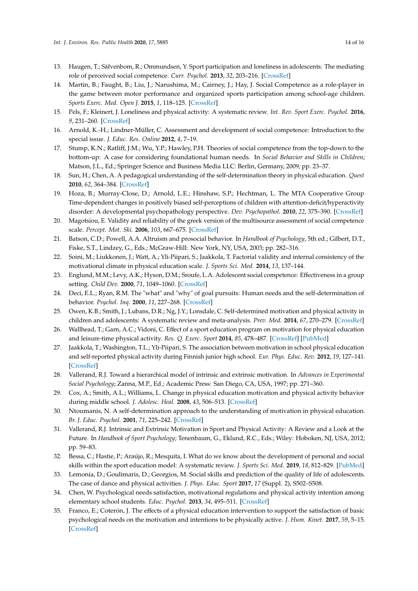- 13. Haugen, T.; Säfvenbom, R.; Ommundsen, Y. Sport participation and loneliness in adolescents: The mediating role of perceived social competence. *Curr. Psychol.* **2013**, *32*, 203–216. [\[CrossRef\]](http://dx.doi.org/10.1007/s12144-013-9174-5)
- 14. Martin, B.; Faught, B.; Liu, J.; Narushima, M.; Cairney, J.; Hay, J. Social Competence as a role-player in the game between motor performance and organized sports participation among school-age children. *Sports Exerc. Med. Open J.* **2015**, *1*, 118–125. [\[CrossRef\]](http://dx.doi.org/10.17140/SEMOJ-1-119)
- <span id="page-13-0"></span>15. Pels, F.; Kleinert, J. Loneliness and physical activity: A systematic review. *Int. Rev. Sport Exerc. Psychol.* **2016**, *9*, 231–260. [\[CrossRef\]](http://dx.doi.org/10.1080/1750984X.2016.1177849)
- <span id="page-13-1"></span>16. Arnold, K.-H.; Lindner-Müller, C. Assessment and development of social competence: Introduction to the special issue. *J. Educ. Res. Online* **2012**, *4*, 7–19.
- <span id="page-13-2"></span>17. Stump, K.N.; Ratliff, J.M.; Wu, Y.P.; Hawley, P.H. Theories of social competence from the top-down to the bottom-up: A case for considering foundational human needs. In *Social Behavior and Skills in Children*; Matson, J.L., Ed.; Springer Science and Business Media LLC: Berlin, Germany, 2009; pp. 23–37.
- <span id="page-13-3"></span>18. Sun, H.; Chen, A. A pedagogical understanding of the self-determination theory in physical education. *Quest* **2010**, *62*, 364–384. [\[CrossRef\]](http://dx.doi.org/10.1080/00336297.2010.10483655)
- <span id="page-13-4"></span>19. Hoza, B.; Murray-Close, D.; Arnold, L.E.; Hinshaw, S.P.; Hechtman, L. The MTA Cooperative Group Time-dependent changes in positively biased self-perceptions of children with attention-deficit/hyperactivity disorder: A developmental psychopathology perspective. *Dev. Psychopathol.* **2010**, *22*, 375–390. [\[CrossRef\]](http://dx.doi.org/10.1017/S095457941000012X)
- <span id="page-13-5"></span>20. Magotsiou, E. Validity and reliability of the greek version of the multisource assessment of social competence scale. *Percept. Mot. Ski.* **2006**, *103*, 667–675. [\[CrossRef\]](http://dx.doi.org/10.2466/PMS.103.7.667-675)
- <span id="page-13-6"></span>21. Batson, C.D.; Powell, A.A. Altruism and prosocial behavior. In *Handbook of Psychology*, 5th ed.; Gilbert, D.T., Fiske, S.T., Lindzey, G., Eds.; McGraw-Hill: New York, NY, USA, 2003; pp. 282–316.
- <span id="page-13-7"></span>22. Soini, M.; Liukkonen, J.; Watt, A.; Yli-Piipari, S.; Jaakkola, T. Factorial validity and internal consistency of the motivational climate in physical education scale. *J. Sports Sci. Med.* **2014**, *13*, 137–144.
- <span id="page-13-8"></span>23. Englund, M.M.; Levy, A.K.; Hyson, D.M.; Sroufe, L.A. Adolescent social competence: Effectiveness in a group setting. *Child Dev.* **2000**, *71*, 1049–1060. [\[CrossRef\]](http://dx.doi.org/10.1111/1467-8624.00208)
- <span id="page-13-9"></span>24. Deci, E.L.; Ryan, R.M. The "what" and "why" of goal pursuits: Human needs and the self-determination of behavior. *Psychol. Inq.* **2000**, *11*, 227–268. [\[CrossRef\]](http://dx.doi.org/10.1207/s15327965pli1104_01)
- <span id="page-13-10"></span>25. Owen, K.B.; Smith, J.; Lubans, D.R.; Ng, J.Y.; Lonsdale, C. Self-determined motivation and physical activity in children and adolescents: A systematic review and meta-analysis. *Prev. Med.* **2014**, *67*, 270–279. [\[CrossRef\]](http://dx.doi.org/10.1016/j.ypmed.2014.07.033)
- <span id="page-13-11"></span>26. Wallhead, T.; Garn, A.C.; Vidoni, C. Effect of a sport education program on motivation for physical education and leisure-time physical activity. *Res. Q. Exerc. Sport* **2014**, *85*, 478–487. [\[CrossRef\]](http://dx.doi.org/10.1080/02701367.2014.961051) [\[PubMed\]](http://www.ncbi.nlm.nih.gov/pubmed/25412130)
- <span id="page-13-12"></span>27. Jaakkola, T.; Washington, T.L.; Yli-Piipari, S. The association between motivation in school physical education and self-reported physical activity during Finnish junior high school. *Eur. Phys. Educ. Rev.* **2012**, *19*, 127–141. [\[CrossRef\]](http://dx.doi.org/10.1177/1356336X12465514)
- <span id="page-13-13"></span>28. Vallerand, R.J. Toward a hierarchical model of intrinsic and extrinsic motivation. In *Advances in Experimental Social Psychology*; Zanna, M.P., Ed.; Academic Press: San Diego, CA, USA, 1997; pp. 271–360.
- <span id="page-13-14"></span>29. Cox, A.; Smith, A.L.; Williams, L. Change in physical education motivation and physical activity behavior during middle school. *J. Adolesc. Heal.* **2008**, *43*, 506–513. [\[CrossRef\]](http://dx.doi.org/10.1016/j.jadohealth.2008.04.020)
- <span id="page-13-15"></span>30. Ntoumanis, N. A self-determination approach to the understanding of motivation in physical education. *Br. J. Educ. Psychol.* **2001**, *71*, 225–242. [\[CrossRef\]](http://dx.doi.org/10.1348/000709901158497)
- <span id="page-13-16"></span>31. Vallerand, R.J. Intrinsic and Extrinsic Motivation in Sport and Physical Activity: A Review and a Look at the Future. In *Handbook of Sport Psychology*; Tenenbaum, G., Eklund, R.C., Eds.; Wiley: Hoboken, NJ, USA, 2012; pp. 59–83.
- <span id="page-13-17"></span>32. Bessa, C.; Hastie, P.; Araújo, R.; Mesquita, I. What do we know about the development of personal and social skills within the sport education model: A systematic review. *J. Sports Sci. Med.* **2019**, *18*, 812–829. [\[PubMed\]](http://www.ncbi.nlm.nih.gov/pubmed/31827367)
- <span id="page-13-18"></span>33. Lemonia, D.; Goulimaris, D.; Georgios, M. Social skills and prediction of the quality of life of adolescents. The case of dance and physical activities. *J. Phys. Educ. Sport* **2017**, *17* (Suppl. 2), S502–S508.
- <span id="page-13-19"></span>34. Chen, W. Psychological needs satisfaction, motivational regulations and physical activity intention among elementary school students. *Educ. Psychol.* **2013**, *34*, 495–511. [\[CrossRef\]](http://dx.doi.org/10.1080/01443410.2013.822959)
- <span id="page-13-20"></span>35. Franco, E.; Coterón, J. The effects of a physical education intervention to support the satisfaction of basic psychological needs on the motivation and intentions to be physically active. *J. Hum. Kinet.* **2017**, *59*, 5–15. [\[CrossRef\]](http://dx.doi.org/10.1515/hukin-2017-0143)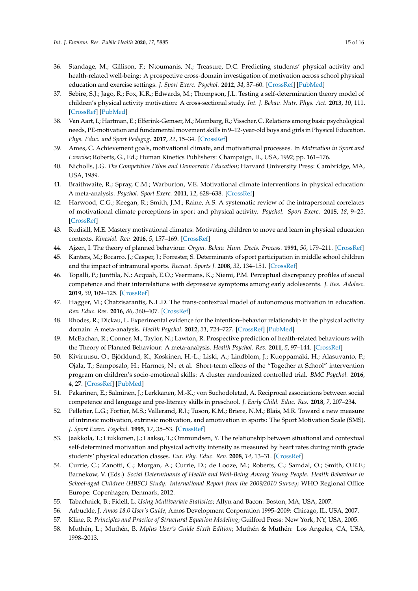- <span id="page-14-0"></span>36. Standage, M.; Gillison, F.; Ntoumanis, N.; Treasure, D.C. Predicting students' physical activity and health-related well-being: A prospective cross-domain investigation of motivation across school physical education and exercise settings. *J. Sport Exerc. Psychol.* **2012**, *34*, 37–60. [\[CrossRef\]](http://dx.doi.org/10.1123/jsep.34.1.37) [\[PubMed\]](http://www.ncbi.nlm.nih.gov/pubmed/22356882)
- <span id="page-14-1"></span>37. Sebire, S.J.; Jago, R.; Fox, K.R.; Edwards, M.; Thompson, J.L. Testing a self-determination theory model of children's physical activity motivation: A cross-sectional study. *Int. J. Behav. Nutr. Phys. Act.* **2013**, *10*, 111. [\[CrossRef\]](http://dx.doi.org/10.1186/1479-5868-10-111) [\[PubMed\]](http://www.ncbi.nlm.nih.gov/pubmed/24067078)
- <span id="page-14-2"></span>38. Van Aart, I.; Hartman, E.; Elferink-Gemser, M.; Mombarg, R.; Visscher, C. Relations among basic psychological needs, PE-motivation and fundamental movement skills in 9–12-year-old boys and girls in Physical Education. *Phys. Educ. and Sport Pedagog.* **2017**, *22*, 15–34. [\[CrossRef\]](http://dx.doi.org/10.1080/17408989.2015.1112776)
- <span id="page-14-3"></span>39. Ames, C. Achievement goals, motivational climate, and motivational processes. In *Motivation in Sport and Exercise*; Roberts, G., Ed.; Human Kinetics Publishers: Champaign, IL, USA, 1992; pp. 161–176.
- <span id="page-14-4"></span>40. Nicholls, J.G. *The Competitive Ethos and Democratic Education*; Harvard University Press: Cambridge, MA, USA, 1989.
- <span id="page-14-5"></span>41. Braithwaite, R.; Spray, C.M.; Warburton, V.E. Motivational climate interventions in physical education: A meta-analysis. *Psychol. Sport Exerc.* **2011**, *12*, 628–638. [\[CrossRef\]](http://dx.doi.org/10.1016/j.psychsport.2011.06.005)
- <span id="page-14-6"></span>42. Harwood, C.G.; Keegan, R.; Smith, J.M.; Raine, A.S. A systematic review of the intrapersonal correlates of motivational climate perceptions in sport and physical activity. *Psychol. Sport Exerc.* **2015**, *18*, 9–25. [\[CrossRef\]](http://dx.doi.org/10.1016/j.psychsport.2014.11.005)
- <span id="page-14-7"></span>43. Rudisill, M.E. Mastery motivational climates: Motivating children to move and learn in physical education contexts. *Kinesiol. Rev.* **2016**, *5*, 157–169. [\[CrossRef\]](http://dx.doi.org/10.1123/kr.2016-0009)
- <span id="page-14-8"></span>44. Ajzen, I. The theory of planned behaviour. *Organ. Behav. Hum. Decis. Process.* **1991**, *50*, 179–211. [\[CrossRef\]](http://dx.doi.org/10.1016/0749-5978(91)90020-T)
- <span id="page-14-9"></span>45. Kanters, M.; Bocarro, J.; Casper, J.; Forrester, S. Determinants of sport participation in middle school children and the impact of intramural sports. *Recreat. Sports J.* **2008**, *32*, 134–151. [\[CrossRef\]](http://dx.doi.org/10.1123/rsj.32.2.134)
- <span id="page-14-10"></span>46. Topalli, P.; Junttila, N.; Acquah, E.O.; Veermans, K.; Niemi, P.M. Perceptual discrepancy profiles of social competence and their interrelations with depressive symptoms among early adolescents. *J. Res. Adolesc.* **2019**, *30*, 109–125. [\[CrossRef\]](http://dx.doi.org/10.1111/jora.12504)
- <span id="page-14-11"></span>47. Hagger, M.; Chatzisarantis, N.L.D. The trans-contextual model of autonomous motivation in education. *Rev. Educ. Res.* **2016**, *86*, 360–407. [\[CrossRef\]](http://dx.doi.org/10.3102/0034654315585005)
- <span id="page-14-12"></span>48. Rhodes, R.; Dickau, L. Experimental evidence for the intention–behavior relationship in the physical activity domain: A meta-analysis. *Health Psychol.* **2012**, *31*, 724–727. [\[CrossRef\]](http://dx.doi.org/10.1037/a0027290) [\[PubMed\]](http://www.ncbi.nlm.nih.gov/pubmed/22390739)
- <span id="page-14-13"></span>49. McEachan, R.; Conner, M.; Taylor, N.; Lawton, R. Prospective prediction of health-related behaviours with the Theory of Planned Behaviour: A meta-analysis. *Health Psychol. Rev.* **2011**, *5*, 97–144. [\[CrossRef\]](http://dx.doi.org/10.1080/17437199.2010.521684)
- <span id="page-14-14"></span>50. Kiviruusu, O.; Björklund, K.; Koskinen, H.-L.; Liski, A.; Lindblom, J.; Kuoppamäki, H.; Alasuvanto, P.; Ojala, T.; Samposalo, H.; Harmes, N.; et al. Short-term effects of the "Together at School" intervention program on children's socio-emotional skills: A cluster randomized controlled trial. *BMC Psychol.* **2016**, *4*, 27. [\[CrossRef\]](http://dx.doi.org/10.1186/s40359-016-0133-4) [\[PubMed\]](http://www.ncbi.nlm.nih.gov/pubmed/27230903)
- <span id="page-14-15"></span>51. Pakarinen, E.; Salminen, J.; Lerkkanen, M.-K.; von Suchodoletzd, A. Reciprocal associations between social competence and language and pre-literacy skills in preschool. *J. Early Child. Educ. Res.* **2018**, *7*, 207–234.
- <span id="page-14-16"></span>52. Pelletier, L.G.; Fortier, M.S.; Vallerand, R.J.; Tuson, K.M.; Briere, N.M.; Blais, M.R. Toward a new measure of intrinsic motivation, extrinsic motivation, and amotivation in sports: The Sport Motivation Scale (SMS). *J. Sport Exerc. Psychol.* **1995**, *17*, 35–53. [\[CrossRef\]](http://dx.doi.org/10.1123/jsep.17.1.35)
- <span id="page-14-17"></span>53. Jaakkola, T.; Liukkonen, J.; Laakso, T.; Ommundsen, Y. The relationship between situational and contextual self-determined motivation and physical activity intensity as measured by heart rates during ninth grade students' physical education classes. *Eur. Phy. Educ. Rev.* **2008**, *14*, 13–31. [\[CrossRef\]](http://dx.doi.org/10.1177/1356336X07085707)
- <span id="page-14-18"></span>54. Currie, C.; Zanotti, C.; Morgan, A.; Currie, D.; de Looze, M.; Roberts, C.; Samdal, O.; Smith, O.R.F.; Barnekow, V. (Eds.) *Social Determinants of Health and Well-Being Among Young People. Health Behaviour in School-aged Children (HBSC) Study: International Report from the 2009*/*2010 Survey*; WHO Regional Office Europe: Copenhagen, Denmark, 2012.
- <span id="page-14-19"></span>55. Tabachnick, B.; Fidell, L. *Using Multivariate Statistics*; Allyn and Bacon: Boston, MA, USA, 2007.
- <span id="page-14-20"></span>56. Arbuckle, J. *Amos 18.0 User's Guide*; Amos Development Corporation 1995–2009: Chicago, IL, USA, 2007.
- <span id="page-14-21"></span>57. Kline, R. *Principles and Practice of Structural Equation Modeling*; Guilford Press: New York, NY, USA, 2005.
- <span id="page-14-22"></span>58. Muthén, L.; Muthén, B. *Mplus User's Guide Sixth Edition*; Muthén & Muthén: Los Angeles, CA, USA, 1998–2013.